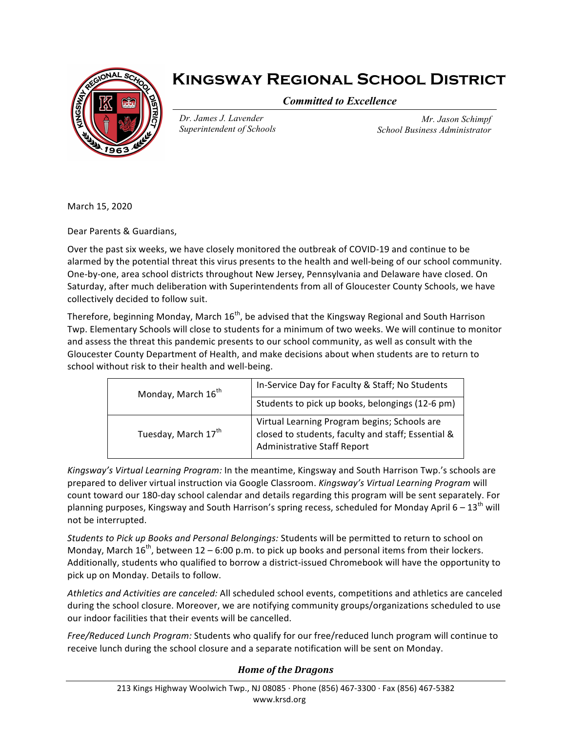

## **Kingsway Regional School District**

*Committed to Excellence*

*Dr. James J. Lavender Superintendent of Schools*

*Mr. Jason Schimpf School Business Administrator*

March 15, 2020

Dear Parents & Guardians,

Over the past six weeks, we have closely monitored the outbreak of COVID-19 and continue to be alarmed by the potential threat this virus presents to the health and well-being of our school community. One-by-one, area school districts throughout New Jersey, Pennsylvania and Delaware have closed. On Saturday, after much deliberation with Superintendents from all of Gloucester County Schools, we have collectively decided to follow suit.

Therefore, beginning Monday, March  $16<sup>th</sup>$ , be advised that the Kingsway Regional and South Harrison Twp. Elementary Schools will close to students for a minimum of two weeks. We will continue to monitor and assess the threat this pandemic presents to our school community, as well as consult with the Gloucester County Department of Health, and make decisions about when students are to return to school without risk to their health and well-being.

| Monday, March 16 <sup>th</sup> | In-Service Day for Faculty & Staff; No Students                                                                                   |
|--------------------------------|-----------------------------------------------------------------------------------------------------------------------------------|
|                                | Students to pick up books, belongings (12-6 pm)                                                                                   |
| Tuesday, March 17th            | Virtual Learning Program begins; Schools are<br>closed to students, faculty and staff; Essential &<br>Administrative Staff Report |

Kingsway's Virtual Learning Program: In the meantime, Kingsway and South Harrison Twp.'s schools are prepared to deliver virtual instruction via Google Classroom. *Kingsway's Virtual Learning Program* will count toward our 180-day school calendar and details regarding this program will be sent separately. For planning purposes, Kingsway and South Harrison's spring recess, scheduled for Monday April 6 –  $13^{\text{th}}$  will not be interrupted.

*Students to Pick up Books and Personal Belongings: Students will be permitted to return to school on* Monday, March  $16^{th}$ , between  $12 - 6:00$  p.m. to pick up books and personal items from their lockers. Additionally, students who qualified to borrow a district-issued Chromebook will have the opportunity to pick up on Monday. Details to follow.

Athletics and Activities are canceled: All scheduled school events, competitions and athletics are canceled during the school closure. Moreover, we are notifying community groups/organizations scheduled to use our indoor facilities that their events will be cancelled.

*Free/Reduced Lunch Program:* Students who qualify for our free/reduced lunch program will continue to receive lunch during the school closure and a separate notification will be sent on Monday.

## **Home** of the Dragons